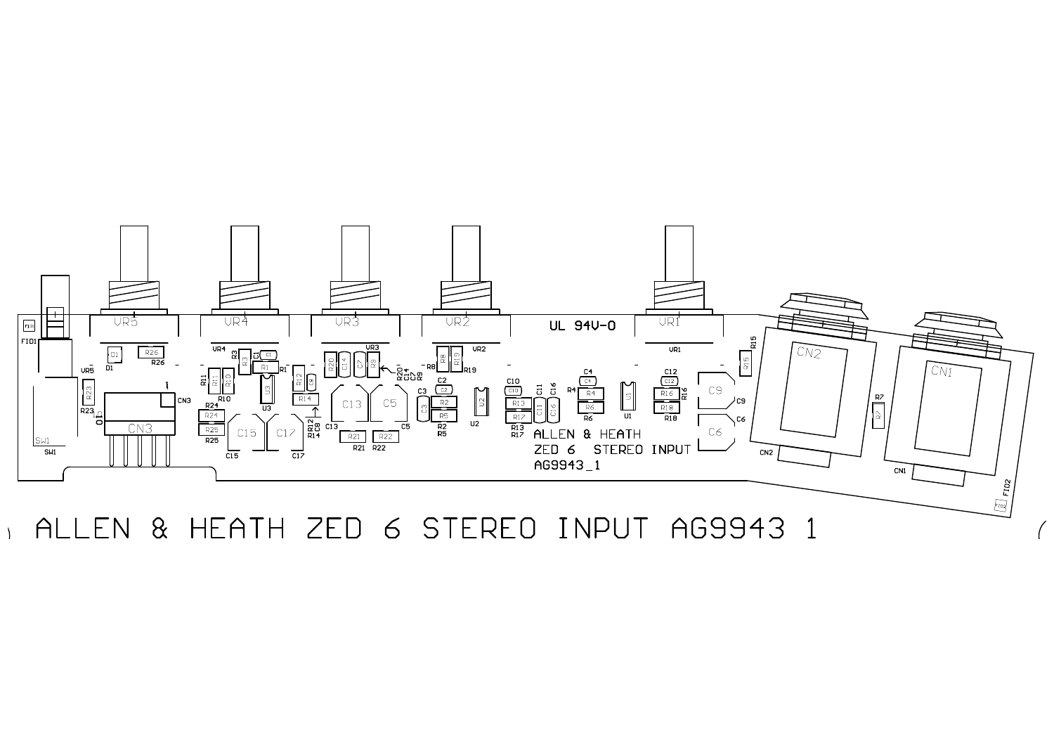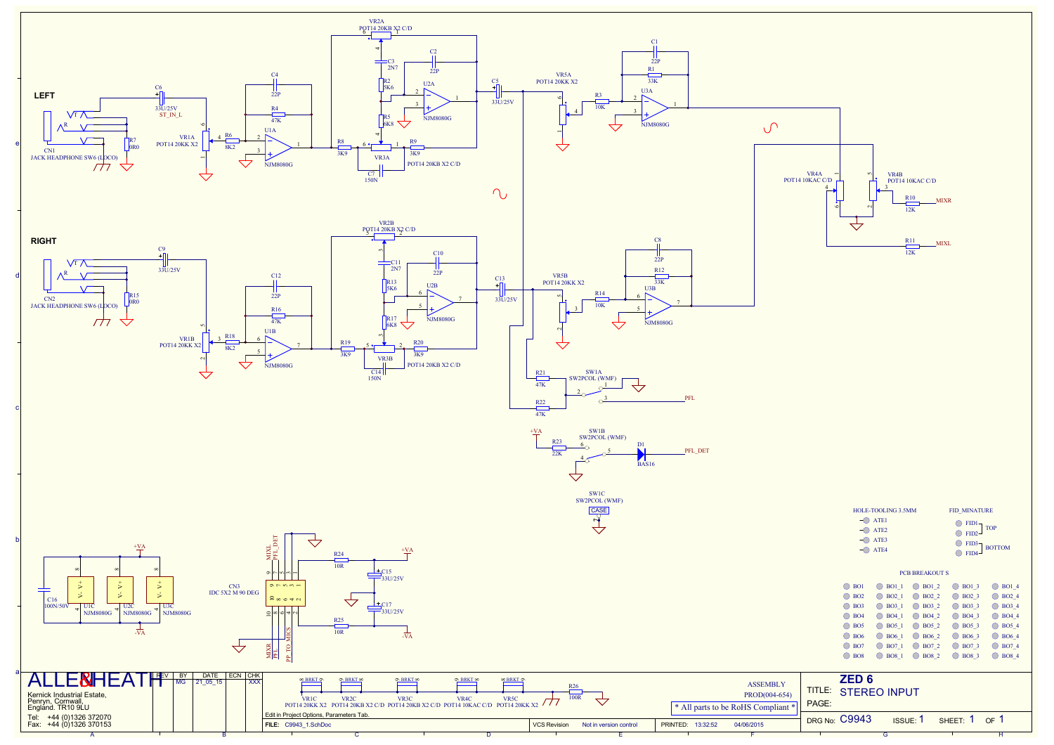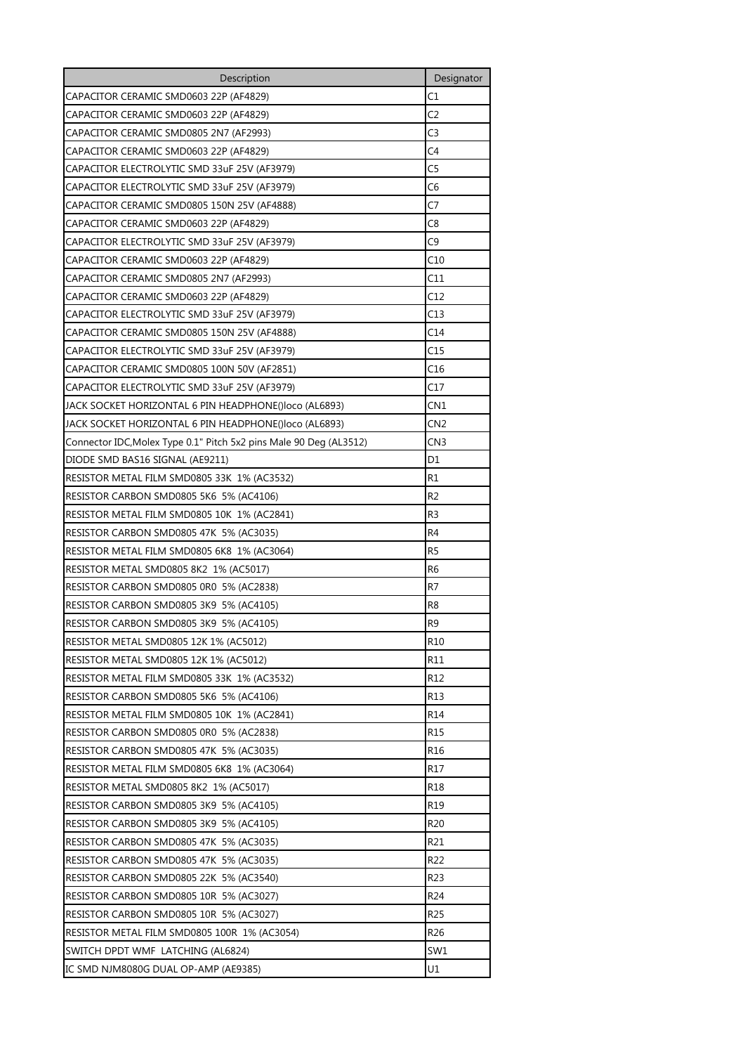| Description                                                        | Designator      |
|--------------------------------------------------------------------|-----------------|
| CAPACITOR CERAMIC SMD0603 22P (AF4829)                             | C1              |
| CAPACITOR CERAMIC SMD0603 22P (AF4829)                             | C2              |
| CAPACITOR CERAMIC SMD0805 2N7 (AF2993)                             | C3              |
| CAPACITOR CERAMIC SMD0603 22P (AF4829)                             | C4              |
| CAPACITOR ELECTROLYTIC SMD 33uF 25V (AF3979)                       | C5              |
| CAPACITOR ELECTROLYTIC SMD 33uF 25V (AF3979)                       | C6              |
| CAPACITOR CERAMIC SMD0805 150N 25V (AF4888)                        | C7              |
| CAPACITOR CERAMIC SMD0603 22P (AF4829)                             | C8              |
| CAPACITOR ELECTROLYTIC SMD 33uF 25V (AF3979)                       | C9              |
| CAPACITOR CERAMIC SMD0603 22P (AF4829)                             | C10             |
| CAPACITOR CERAMIC SMD0805 2N7 (AF2993)                             | C11             |
| CAPACITOR CERAMIC SMD0603 22P (AF4829)                             | C12             |
| CAPACITOR ELECTROLYTIC SMD 33uF 25V (AF3979)                       | C13             |
| CAPACITOR CERAMIC SMD0805 150N 25V (AF4888)                        | C14             |
| CAPACITOR ELECTROLYTIC SMD 33uF 25V (AF3979)                       | C15             |
| CAPACITOR CERAMIC SMD0805 100N 50V (AF2851)                        | C16             |
| CAPACITOR ELECTROLYTIC SMD 33uF 25V (AF3979)                       | C17             |
| JACK SOCKET HORIZONTAL 6 PIN HEADPHONE()loco (AL6893)              | CN1             |
| JACK SOCKET HORIZONTAL 6 PIN HEADPHONE()loco (AL6893)              | CN <sub>2</sub> |
| Connector IDC, Molex Type 0.1" Pitch 5x2 pins Male 90 Deg (AL3512) | CN3             |
| DIODE SMD BAS16 SIGNAL (AE9211)                                    | D1              |
| RESISTOR METAL FILM SMD0805 33K 1% (AC3532)                        | R1              |
| RESISTOR CARBON SMD0805 5K6 5% (AC4106)                            | R2              |
| RESISTOR METAL FILM SMD0805 10K 1% (AC2841)                        | R <sub>3</sub>  |
| RESISTOR CARBON SMD0805 47K 5% (AC3035)                            | R4              |
| RESISTOR METAL FILM SMD0805 6K8 1% (AC3064)                        | R <sub>5</sub>  |
| RESISTOR METAL SMD0805 8K2 1% (AC5017)                             | R6              |
| RESISTOR CARBON SMD0805 0R0 5% (AC2838)                            | R7              |
| RESISTOR CARBON SMD0805 3K9 5% (AC4105)                            | R8              |
| RESISTOR CARBON SMD0805 3K9 5% (AC4105)                            | R <sub>9</sub>  |
| RESISTOR METAL SMD0805 12K 1% (AC5012)                             | R10             |
| RESISTOR METAL SMD0805 12K 1% (AC5012)                             | R11             |
| RESISTOR METAL FILM SMD0805 33K 1% (AC3532)                        | R12             |
| RESISTOR CARBON SMD0805 5K6 5% (AC4106)                            | R13             |
| RESISTOR METAL FILM SMD0805 10K 1% (AC2841)                        | R14             |
| RESISTOR CARBON SMD0805 0R0 5% (AC2838)                            | R15             |
| RESISTOR CARBON SMD0805 47K 5% (AC3035)                            | R16             |
| RESISTOR METAL FILM SMD0805 6K8 1% (AC3064)                        | R17             |
| RESISTOR METAL SMD0805 8K2 1% (AC5017)                             | R <sub>18</sub> |
| RESISTOR CARBON SMD0805 3K9 5% (AC4105)                            | R19             |
| RESISTOR CARBON SMD0805 3K9 5% (AC4105)                            | R20             |
| RESISTOR CARBON SMD0805 47K 5% (AC3035)                            | R21             |
| RESISTOR CARBON SMD0805 47K 5% (AC3035)                            | R22             |
| RESISTOR CARBON SMD0805 22K 5% (AC3540)                            | R23             |
| RESISTOR CARBON SMD0805 10R 5% (AC3027)                            | R <sub>24</sub> |
| RESISTOR CARBON SMD0805 10R 5% (AC3027)                            | R25             |
| RESISTOR METAL FILM SMD0805 100R 1% (AC3054)                       | R26             |
| SWITCH DPDT WMF LATCHING (AL6824)                                  | SW1             |
| IC SMD NJM8080G DUAL OP-AMP (AE9385)                               | U1              |